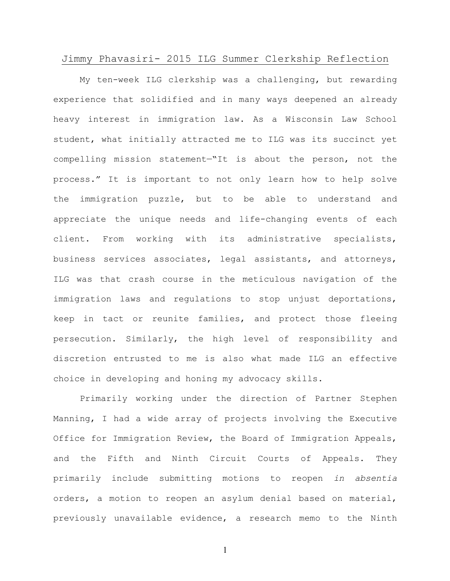## Jimmy Phavasiri- 2015 ILG Summer Clerkship Reflection

My ten-week ILG clerkship was a challenging, but rewarding experience that solidified and in many ways deepened an already heavy interest in immigration law. As a Wisconsin Law School student, what initially attracted me to ILG was its succinct yet compelling mission statement—"It is about the person, not the process." It is important to not only learn how to help solve the immigration puzzle, but to be able to understand and appreciate the unique needs and life-changing events of each client. From working with its administrative specialists, business services associates, legal assistants, and attorneys, ILG was that crash course in the meticulous navigation of the immigration laws and regulations to stop unjust deportations, keep in tact or reunite families, and protect those fleeing persecution. Similarly, the high level of responsibility and discretion entrusted to me is also what made ILG an effective choice in developing and honing my advocacy skills.

Primarily working under the direction of Partner Stephen Manning, I had a wide array of projects involving the Executive Office for Immigration Review, the Board of Immigration Appeals, and the Fifth and Ninth Circuit Courts of Appeals. They primarily include submitting motions to reopen *in absentia* orders, a motion to reopen an asylum denial based on material, previously unavailable evidence, a research memo to the Ninth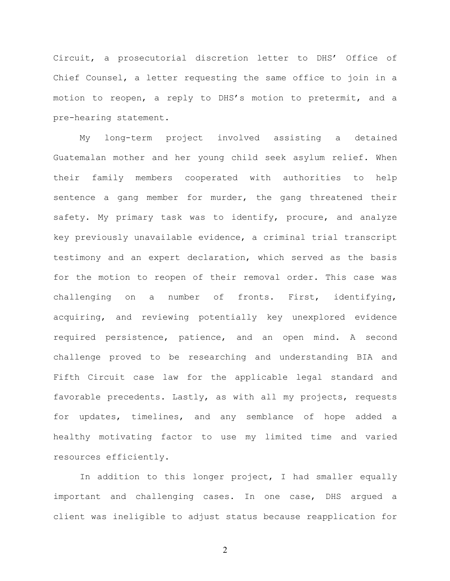Circuit, a prosecutorial discretion letter to DHS' Office of Chief Counsel, a letter requesting the same office to join in a motion to reopen, a reply to DHS's motion to pretermit, and a pre-hearing statement.

My long-term project involved assisting a detained Guatemalan mother and her young child seek asylum relief. When their family members cooperated with authorities to help sentence a gang member for murder, the gang threatened their safety. My primary task was to identify, procure, and analyze key previously unavailable evidence, a criminal trial transcript testimony and an expert declaration, which served as the basis for the motion to reopen of their removal order. This case was challenging on a number of fronts. First, identifying, acquiring, and reviewing potentially key unexplored evidence required persistence, patience, and an open mind. A second challenge proved to be researching and understanding BIA and Fifth Circuit case law for the applicable legal standard and favorable precedents. Lastly, as with all my projects, requests for updates, timelines, and any semblance of hope added a healthy motivating factor to use my limited time and varied resources efficiently.

In addition to this longer project, I had smaller equally important and challenging cases. In one case, DHS argued a client was ineligible to adjust status because reapplication for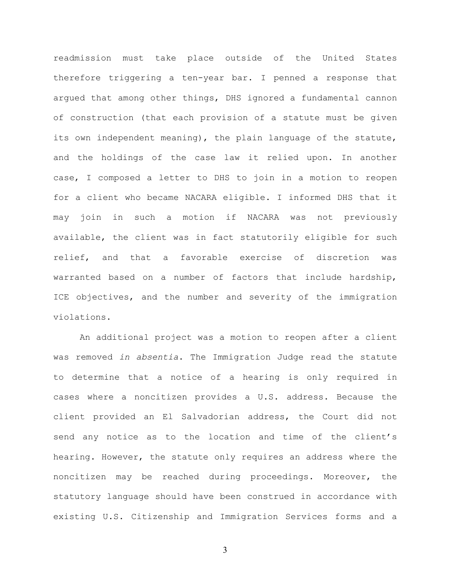readmission must take place outside of the United States therefore triggering a ten-year bar. I penned a response that argued that among other things, DHS ignored a fundamental cannon of construction (that each provision of a statute must be given its own independent meaning), the plain language of the statute, and the holdings of the case law it relied upon. In another case, I composed a letter to DHS to join in a motion to reopen for a client who became NACARA eligible. I informed DHS that it may join in such a motion if NACARA was not previously available, the client was in fact statutorily eligible for such relief, and that a favorable exercise of discretion was warranted based on a number of factors that include hardship, ICE objectives, and the number and severity of the immigration violations.

An additional project was a motion to reopen after a client was removed *in absentia*. The Immigration Judge read the statute to determine that a notice of a hearing is only required in cases where a noncitizen provides a U.S. address. Because the client provided an El Salvadorian address, the Court did not send any notice as to the location and time of the client's hearing. However, the statute only requires an address where the noncitizen may be reached during proceedings. Moreover, the statutory language should have been construed in accordance with existing U.S. Citizenship and Immigration Services forms and a